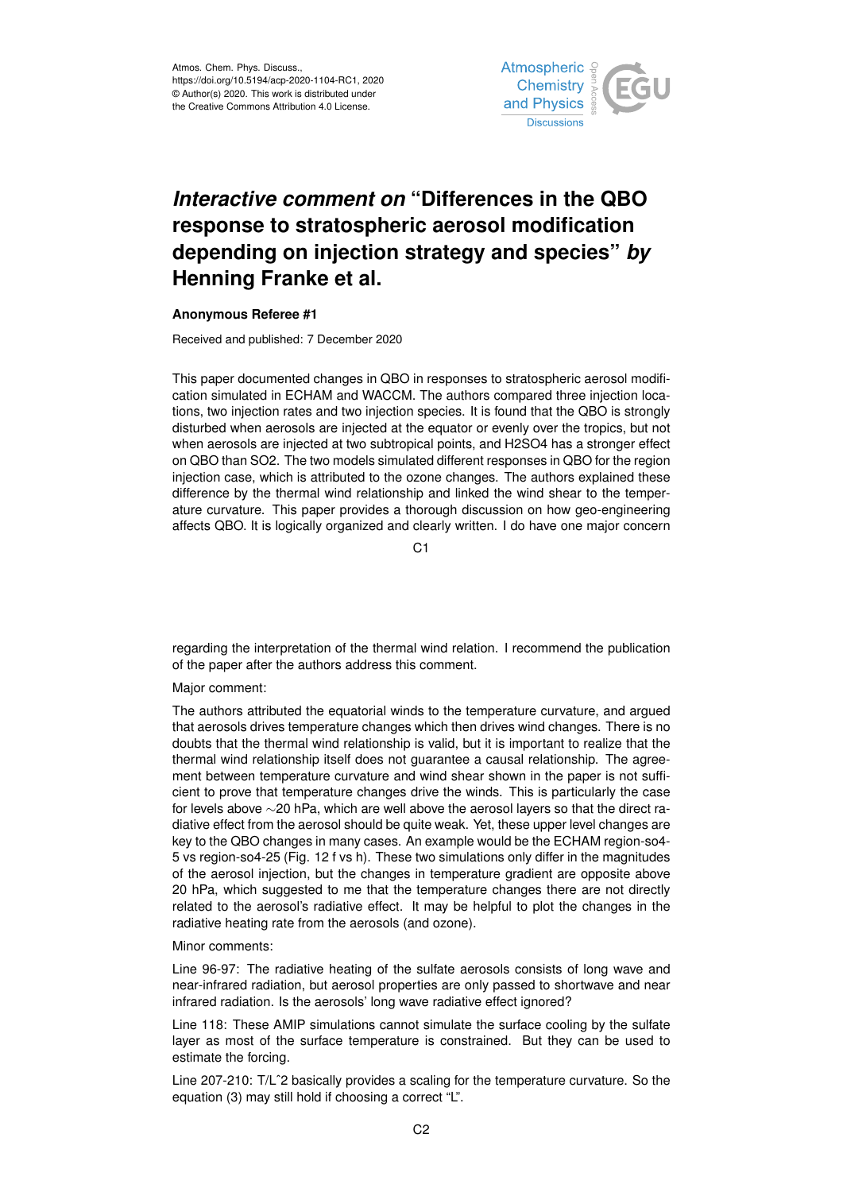

## *Interactive comment on* **"Differences in the QBO response to stratospheric aerosol modification depending on injection strategy and species"** *by* **Henning Franke et al.**

## **Anonymous Referee #1**

Received and published: 7 December 2020

This paper documented changes in QBO in responses to stratospheric aerosol modification simulated in ECHAM and WACCM. The authors compared three injection locations, two injection rates and two injection species. It is found that the QBO is strongly disturbed when aerosols are injected at the equator or evenly over the tropics, but not when aerosols are injected at two subtropical points, and H2SO4 has a stronger effect on QBO than SO2. The two models simulated different responses in QBO for the region injection case, which is attributed to the ozone changes. The authors explained these difference by the thermal wind relationship and linked the wind shear to the temperature curvature. This paper provides a thorough discussion on how geo-engineering affects QBO. It is logically organized and clearly written. I do have one major concern

C<sub>1</sub>

regarding the interpretation of the thermal wind relation. I recommend the publication of the paper after the authors address this comment.

## Major comment:

The authors attributed the equatorial winds to the temperature curvature, and argued that aerosols drives temperature changes which then drives wind changes. There is no doubts that the thermal wind relationship is valid, but it is important to realize that the thermal wind relationship itself does not guarantee a causal relationship. The agreement between temperature curvature and wind shear shown in the paper is not sufficient to prove that temperature changes drive the winds. This is particularly the case for levels above ∼20 hPa, which are well above the aerosol layers so that the direct radiative effect from the aerosol should be quite weak. Yet, these upper level changes are key to the QBO changes in many cases. An example would be the ECHAM region-so4- 5 vs region-so4-25 (Fig. 12 f vs h). These two simulations only differ in the magnitudes of the aerosol injection, but the changes in temperature gradient are opposite above 20 hPa, which suggested to me that the temperature changes there are not directly related to the aerosol's radiative effect. It may be helpful to plot the changes in the radiative heating rate from the aerosols (and ozone).

## Minor comments:

Line 96-97: The radiative heating of the sulfate aerosols consists of long wave and near-infrared radiation, but aerosol properties are only passed to shortwave and near infrared radiation. Is the aerosols' long wave radiative effect ignored?

Line 118: These AMIP simulations cannot simulate the surface cooling by the sulfate layer as most of the surface temperature is constrained. But they can be used to estimate the forcing.

Line 207-210: T/Lˆ2 basically provides a scaling for the temperature curvature. So the equation (3) may still hold if choosing a correct "L".